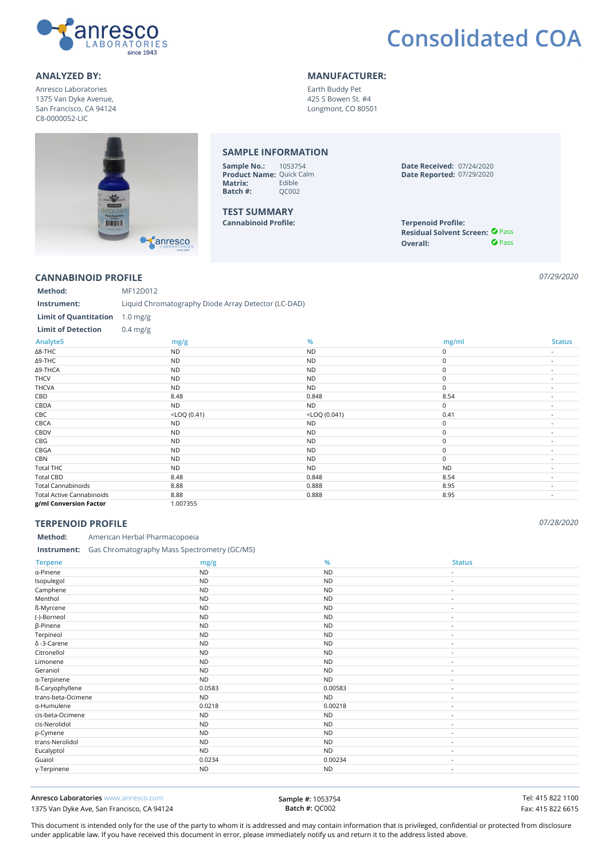

# **Consolidated COA**

## **ANALYZED BY: MANUFACTURER:**

Anresco Laboratories 1375 Van Dyke Avenue, San Francisco, CA 94124 C8-0000052-LIC

Earth Buddy Pet 425 S Bowen St. #4 Longmont, CO 80501

#### **SAMPLE INFORMATION Sample No.:** 1053754 **Date Received:** 07/24/2020 **Product Name:** Quick Calm<br>**Matrix:** Edible **Date Reported:** 07/29/2020 **Matrix:** Edible<br>**Batch #:** QC002 **Batch #: TEST SUMMARY Cannabinoid Profile: Terpenoid Profile: UNITED** Residual Solvent Screen: <sup>*O* Pass</sup> Canresco *<u>O* Pass</u> **Overall:**

### **CANNABINOID PROFILE** *07/29/2020*

**Method:** MF12D012 **Instrument:** Liquid Chromatography Diode Array Detector (LC-DAD) **Limit of Quantitation** 1.0 mg/g **Limit of Detection** 0.4 mg/g **Analyte5 mg/g % mg/ml Status** ∆8-THC ND ND 0 - ∆9-THC ND ND 0 - ∆9-THCA ND ND 0 - THCV ND ND 0 - THCVA ND ND 0 - CBD 8.48 0.848 8.54 - CBDA ND ND 0 -  $<$ LOQ (0.41)  $<$ LOQ (0.41)  $<$ LOQ (0.041)  $<$ COQ (0.041)  $0.41$   $-$ CBCA ND ND 0 - CBDV ND ND 0 - CBG ND ND 0 - CBGA ND ND 0 - CBN ND ND 0 - Total THC ND ND ND - Total CBD 8.48 0.848 8.54 - Total Cannabinoids 8.88 0.888 8.95 - Total Active Cannabinoids 8.88 8.95 - 8.88 8.95 - 8.95 - 8.95 - 8.95 - 8.95 - 8.95 - 8.95 - 8.95 - 8.95 - 8.95 **g/ml Conversion Factor** 1.007355

# **TERPENOID PROFILE** *07/28/2020*

### **Method:** American Herbal Pharmacopoeia

#### **Instrument:** Gas Chromatography Mass Spectrometry (GC/MS)

| <b>Terpene</b>     | mg/g      | %         | <b>Status</b>            |
|--------------------|-----------|-----------|--------------------------|
| a-Pinene           | <b>ND</b> | <b>ND</b> | $\overline{\phantom{a}}$ |
| Isopulegol         | <b>ND</b> | <b>ND</b> | $\sim$                   |
| Camphene           | <b>ND</b> | <b>ND</b> | $\overline{\phantom{a}}$ |
| Menthol            | <b>ND</b> | <b>ND</b> | $\overline{\phantom{a}}$ |
| ß-Myrcene          | <b>ND</b> | <b>ND</b> | $\overline{\phantom{a}}$ |
| (-)-Borneol        | <b>ND</b> | <b>ND</b> | $\sim$                   |
| β-Pinene           | <b>ND</b> | <b>ND</b> | $\overline{\phantom{a}}$ |
| Terpineol          | <b>ND</b> | <b>ND</b> | $\sim$                   |
| $\delta$ -3-Carene | <b>ND</b> | <b>ND</b> | $\sim$                   |
| Citronellol        | <b>ND</b> | <b>ND</b> | $\overline{\phantom{a}}$ |
| Limonene           | <b>ND</b> | <b>ND</b> | $\overline{\phantom{a}}$ |
| Geraniol           | <b>ND</b> | <b>ND</b> | $\sim$                   |
| a-Terpinene        | <b>ND</b> | <b>ND</b> | $\sim$                   |
| ß-Caryophyllene    | 0.0583    | 0.00583   | $\sim$                   |
| trans-beta-Ocimene | <b>ND</b> | <b>ND</b> | $\sim$                   |
| a-Humulene         | 0.0218    | 0.00218   | $\sim$                   |
| cis-beta-Ocimene   | <b>ND</b> | <b>ND</b> | $\sim$                   |
| cis-Nerolidol      | <b>ND</b> | <b>ND</b> | $\sim$                   |
| p-Cymene           | <b>ND</b> | <b>ND</b> | $\sim$                   |
| trans-Nerolidol    | <b>ND</b> | <b>ND</b> | $\sim$                   |
| Eucalyptol         | <b>ND</b> | <b>ND</b> | $\sim$                   |
| Guaiol             | 0.0234    | 0.00234   | $\sim$                   |
| y-Terpinene        | <b>ND</b> | <b>ND</b> | $\sim$                   |

**Anresco Laboratories** www.anresco.com **Tel: 415 822 1100** 1375 Van Dyke Ave, San Francisco, CA 94124 **Fax: 415 822 6615** Fax: 415 822 6615

**Sample #:** 1053754 **Batch #:** QC002

This document is intended only for the use of the party to whom it is addressed and may contain information that is privileged, confidential or protected from disclosure under applicable law. If you have received this document in error, please immediately notify us and return it to the address listed above.